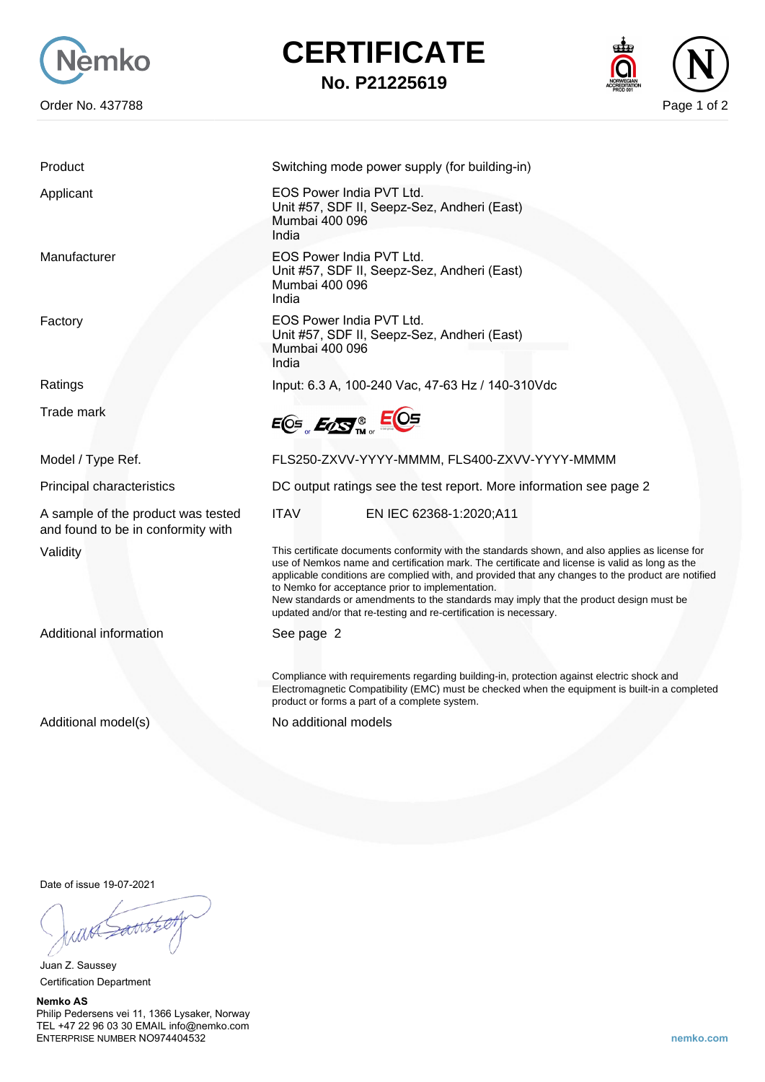

## **CERTIFICATE**

**No. P21225619**



Trade mark

A sample of the product was tested and found to be in conformity with

Additional information See page 2

Product Switching mode power supply (for building-in)

Applicant EOS Power India PVT Ltd. Unit #57, SDF II, Seepz-Sez, Andheri (East) Mumbai 400 096 India

Manufacturer **EOS Power India PVT Ltd.** Unit #57, SDF II, Seepz-Sez, Andheri (East) Mumbai 400 096 India

Factory **EOS Power India PVT Ltd.** Unit #57, SDF II, Seepz-Sez, Andheri (East) Mumbai 400 096 India

Ratings Input: 6.3 A, 100-240 Vac, 47-63 Hz / 140-310Vdc

 $EOS$ <sub>,  $E_2S$ <sup>®</sup><sub>m</sub>  $EOS$ </sub>

Model / Type Ref. The State of the FLS250-ZXVV-YYYY-MMMM, FLS400-ZXVV-YYYY-MMMM

Principal characteristics DC output ratings see the test report. More information see page 2

ITAV EN IEC 62368-1:2020;A11

Validity This certificate documents conformity with the standards shown, and also applies as license for use of Nemkos name and certification mark. The certificate and license is valid as long as the applicable conditions are complied with, and provided that any changes to the product are notified to Nemko for acceptance prior to implementation.

New standards or amendments to the standards may imply that the product design must be updated and/or that re-testing and re-certification is necessary.

Compliance with requirements regarding building-in, protection against electric shock and Electromagnetic Compatibility (EMC) must be checked when the equipment is built-in a completed product or forms a part of a complete system.

Additional model(s) No additional models

Date of issue 19-07-2021

Juan Z. Saussey Certification Department

**Nemko AS** Philip Pedersens vei 11, 1366 Lysaker, Norway TEL +47 22 96 03 30 EMAIL info@nemko.com ENTERPRISE NUMBER NO974404532 **nemko.com**